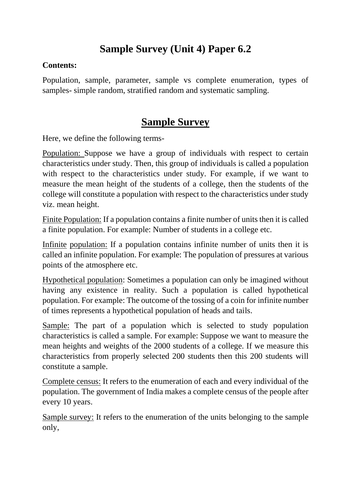## **Sample Survey (Unit 4) Paper 6.2**

## **Contents:**

Population, sample, parameter, sample vs complete enumeration, types of samples- simple random, stratified random and systematic sampling.

## **Sample Survey**

Here, we define the following terms-

Population: Suppose we have a group of individuals with respect to certain characteristics under study. Then, this group of individuals is called a population with respect to the characteristics under study. For example, if we want to measure the mean height of the students of a college, then the students of the college will constitute a population with respect to the characteristics under study viz. mean height.

Finite Population: If a population contains a finite number of units then it is called a finite population. For example: Number of students in a college etc.

Infinite population: If a population contains infinite number of units then it is called an infinite population. For example: The population of pressures at various points of the atmosphere etc.

Hypothetical population: Sometimes a population can only be imagined without having any existence in reality. Such a population is called hypothetical population. For example: The outcome of the tossing of a coin for infinite number of times represents a hypothetical population of heads and tails.

Sample: The part of a population which is selected to study population characteristics is called a sample. For example: Suppose we want to measure the mean heights and weights of the 2000 students of a college. If we measure this characteristics from properly selected 200 students then this 200 students will constitute a sample.

Complete census: It refers to the enumeration of each and every individual of the population. The government of India makes a complete census of the people after every 10 years.

Sample survey: It refers to the enumeration of the units belonging to the sample only,